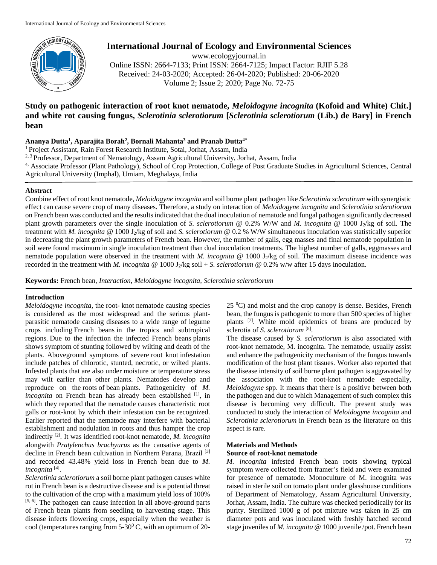

# **International Journal of Ecology and Environmental Sciences**

www.ecologyjournal.in Online ISSN: 2664-7133; Print ISSN: 2664-7125; Impact Factor: RJIF 5.28 Received: 24-03-2020; Accepted: 26-04-2020; Published: 20-06-2020 Volume 2; Issue 2; 2020; Page No. 72-75

# **Study on pathogenic interaction of root knot nematode,** *Meloidogyne incognita* **(Kofoid and White) Chit.] and white rot causing fungus,** *Sclerotinia sclerotiorum* **[***Sclerotinia sclerotiorum* **(Lib.) de Bary] in French bean**

# **Ananya Dutta<sup>1</sup> , Aparajita Borah<sup>2</sup> , Bornali Mahanta<sup>3</sup> and Pranab Dutta4\***

<sup>1</sup> Project Assistant, Rain Forest Research Institute, Sotai, Jorhat, Assam, India

- <sup>2, 3</sup> Professor, Department of Nematology, Assam Agricultural University, Jorhat, Assam, India
- 4, Associate Professor (Plant Pathology), School of Crop Protection, College of Post Graduate Studies in Agricultural Sciences, Central Agricultural University (Imphal), Umiam, Meghalaya, India

## **Abstract**

Combine effect of root knot nematode, *Meloidogyne incognita* and soil borne plant pathogen like *Sclerotinia sclerotirum* with synergistic effect can cause severe crop of many diseases. Therefore, a study on interaction of *Meloidogyne incognita* and *Sclerotinia sclerotiorum* on French bean was conducted and the results indicated that the dual inoculation of nematode and fungal pathogen significantly decreased plant growth parameters over the single inoculation of *S. sclerotiorum* @ 0.2% W/W and *M. incognita* @ 1000 J<sub>2</sub>/kg of soil. The treatment with *M. incognita* @ 1000 J2/kg of soil and *S. sclerotiorum* @ 0.2 % W/W simultaneous inoculation was statistically superior in decreasing the plant growth parameters of French bean. However, the number of galls, egg masses and final nematode population in soil were found maximum in single inoculation treatment than dual inoculation treatments. The highest number of galls, eggmasses and nematode population were observed in the treatment with *M. incognita* @ 1000 J<sub>2</sub>/kg of soil. The maximum disease incidence was recorded in the treatment with *M. incognita*  $@ 1000 J_2/kg \text{ soil} + S. *sclerotiorum* @ 0.2% w/w after 15 days inoculation.$ 

**Keywords:** French bean, *Interaction*, *Meloidogyne incognita, Sclerotinia sclerotiorum*

# **Introduction**

*Meloidogyne incognita,* the root- knot nematode causing species is considered as the most widespread and the serious plantparasitic nematode causing diseases to a wide range of legume crops including French beans in the tropics and subtropical regions. Due to the infection the infected French beans plants shows symptom of stunting followed by wilting and death of the plants. Aboveground symptoms of severe root knot infestation include patches of chlorotic, stunted, necrotic, or wilted plants. Infested plants that are also under moisture or temperature stress may wilt earlier than other plants. Nematodes develop and reproduce on the roots of bean plants. Pathogenicity of *M. incognita* on French bean has already been established <sup>[1]</sup>, in which they reported that the nematode causes characteristic root galls or root-knot by which their infestation can be recognized. Earlier reported that the nematode may interfere with bacterial establishment and nodulation in roots and thus hamper the crop indirectly [2]. It was identified root-knot nematode, *M. incognita*  alongwith *Pratylenchus brachyurus* as the causative agents of decline in French bean cultivation in Northern Parana, Brazil<sup>[3]</sup> and recorded 43.48% yield loss in French bean due to *M. incognita* [4] .

*Sclerotinia sclerotiorum* a soil borne plant pathogen causes white rot in French bean is a destructive disease and is a potential threat to the cultivation of the crop with a maximum yield loss of 100%  $[5, 6]$ . The pathogen can cause infection in all above-ground parts of French bean plants from seedling to harvesting stage. This disease infects flowering crops, especially when the weather is cool (temperatures ranging from  $5-30^{\circ}$  C, with an optimum of 20 $25 \degree$ C) and moist and the crop canopy is dense. Besides, French bean, the fungus is pathogenic to more than 500 species of higher plants [7]. White mold epidemics of beans are produced by sclerotia of *S. sclerotiorum* [8] .

The disease caused by *S. sclerotiorum* is also associated with root-knot nematode, M. incognita. The nematode, usually assist and enhance the pathogenicity mechanism of the fungus towards modification of the host plant tissues. Worker also reported that the disease intensity of soil borne plant pathogen is aggravated by the association with the root-knot nematode especially, *Meloidogyne* spp. It means that there is a positive between both the pathogen and due to which Management of such complex this disease is becoming very difficult. The present study was conducted to study the interaction of *Meloidogyne incognita* and *Sclerotinia sclerotiorum* in French bean as the literature on this aspect is rare.

# **Materials and Methods Source of root-knot nematode**

*M. incognita* infested French bean roots showing typical symptom were collected from framer's field and were examined for presence of nematode. Monoculture of M. incognita was raised in sterile soil on tomato plant under glasshouse conditions of Department of Nematology, Assam Agricultural University, Jorhat, Assam, India. The culture was checked periodically for its purity. Sterilized 1000 g of pot mixture was taken in 25 cm diameter pots and was inoculated with freshly hatched second stage juveniles of *M. incognita* @ 1000 juvenile /pot. French bean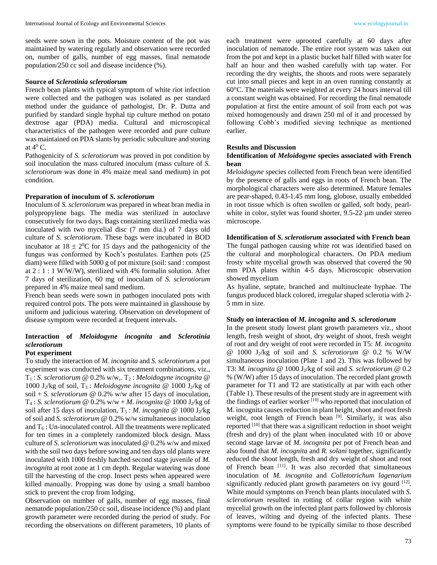seeds were sown in the pots. Moisture content of the pot was maintained by watering regularly and observation were recorded on, number of galls, number of egg masses, final nematode population/250 cc soil and disease incidence (%).

#### **Source of** *Sclerotinia sclerotiorum*

French bean plants with typical symptom of white riot infection were collected and the pathogen was isolated as per standard method under the guidance of pathologist, Dr. P. Dutta and purified by standard single hyphal tip culture method on potato dextrose agar (PDA) media. Cultural and microscopical characteristics of the pathogen were recorded and pure culture was maintained on PDA slants by periodic subculture and storing at  $4^0$  C.

Pathogenicity of *S. sclerotiorum* was proved in pot condition by soil inoculation the mass cultured inoculum (mass culture of *S. sclerotiorum* was done in 4% maize meal sand medium) in pot condition.

# **Preparation of inoculum of** *S. sclerotiorum*

Inoculum of *S. sclerotiorum* was prepared in wheat bran media in polypropylene bags. The media was sterilized in autoclave consecutively for two days. Bags containing sterilized media was inoculated with two mycelial disc (7 mm dia.) of 7 days old culture of *S. sclerotiorum*. These bags were incubated in BOD incubator at  $18 \pm 2^0$ C for 15 days and the pathogenicity of the fungus was conformed by Koch's postulates. Earthen pots (25 diam) were filled with 5000 g of pot mixture (soil: sand : compost at  $2:1:1$  W/W/W), sterilized with 4% formalin solution. After 7 days of sterilization, 60 mg of inoculam of *S. sclerotiorum* prepared in 4% maize meal sand medium.

French bean seeds were sown in pathogen inoculated pots with required control pots. The pots were maintained in glasshouse by uniform and judicious watering. Observation on development of disease symptom were recorded at frequent intervals.

# **Interaction of** *Meloidogyne incognita* **and** *Sclerotinia sclerotiorum*

# **Pot experiment**

To study the interaction of *M. incognita* and *S. sclerotiorum* a pot experiment was conducted with six treatment combinations, viz.,  $T_1$ : *S. sclerotiorum* @ 0.2% w/w,.  $T_2$ : *Meloidogyne incognita* @ 1000 J<sub>2</sub>/kg of soil,  $T_3$ : *Meloidogyne incognita* @ 1000 J<sub>2</sub>/kg of soil + *S. sclerotiorum* @ 0.2% w/w after 15 days of inoculation, T<sub>4</sub> : *S. sclerotiorum* @ 0.2% w/w + *M. incognita* @ 1000 J<sub>2</sub>/kg of soil after 15 days of inoculation,  $T_5$ : *M. incognita* @ 1000 J<sub>2</sub>/kg of soil and *S. sclerotiorum* @ 0.2% w/w simultaneous inoculation and  $T<sub>6</sub>$ : Un-inoculated control. All the treatments were replicated for ten times in a completely randomized block design. Mass culture of *S. sclerotiorum* was inoculated @ 0.2% w/w and mixed with the soil two days before sowing and ten days old plants were inoculated with 1000 freshly hatched second stage juvenile of *M. incognita* at root zone at 1 cm depth. Regular watering was done till the harvesting of the crop. Insect pests when appeared were killed manually. Propping was done by using a small bamboo stick to prevent the crop from lodging.

Observation on number of galls, number of egg masses, final nematode population/250 cc soil, disease incidence (%) and plant growth parameter were recorded during the period of study. For recording the observations on different parameters, 10 plants of

each treatment were uprooted carefully at 60 days after inoculation of nematode. The entire root system was taken out from the pot and kept in a plastic bucket half filled with water for half an hour and then washed carefully with tap water. For recording the dry weights, the shoots and roots were separately cut into small pieces and kept in an oven running constantly at 60°C. The materials were weighted at every 24 hours interval till a constant weight was obtained. For recording the final nematode population at first the entire amount of soil from each pot was mixed homogenously and drawn 250 ml of it and processed by following Cobb's modified sieving technique as mentioned earlier.

#### **Results and Discussion**

## **Identification of** *Meloidogyne* **species associated with French bean**

*Meloidogyne* species collected from French bean were identified by the presence of galls and eggs in roots of French bean. The morphological characters were also determined. Mature females are pear-shaped, 0.43-1.45 mm long, globose, usually embedded in root tissue which is often swollen or galled, soft body, pearlwhite in color, stylet was found shorter, 9.5-22 µm under stereo microscope.

#### **Identification of** *S. sclerotiorum* **associated with French bean**

The fungal pathogen causing white rot was identified based on the cultural and morphological characters. On PDA medium frosty white mycelial growth was observed that covered the 90 mm PDA plates within 4-5 days. Microscopic observation showed mycelium

As hyaline, septate, branched and multinucleate hyphae. The fungus produced black colored, irregular shaped sclerotia with 2- 5 mm in size.

#### **Study on interaction of** *M. incognita* **and** *S. sclerotiorum*

In the present study lowest plant growth parameters viz., shoot length, fresh weight of shoot, dry weight of shoot, fresh weight of root and dry weight of root were recorded in T5: *M. incognita* @ 1000 J2/kg of soil and *S. sclerotiorum* @ 0.2 % W/W simultaneous inoculation (Plate 1 and 2). This was followed by T3: *M. incognita* @ 1000 J2/kg of soil and *S. sclerotiorum* @ 0.2 % (W/W) after 15 days of inoculation. The recorded plant growth parameter for T1 and T2 are statistically at par with each other (Table 1). These results of the present study are in agreement with the findings of earlier worker  $[10]$  who reported that inoculation of M. incognita causes reduction in plant height, shoot and root fresh weight, root length of French bean <sup>[9]</sup>. Similarly, it was also reported [10] that there was a significant reduction in shoot weight (fresh and dry) of the plant when inoculated with 10 or above second stage larvae of *M. incognita* per pot of French bean and also found that *M. incognita* and *R. solani* together, significantly reduced the shoot length, fresh and dry weight of shoot and root of French bean [11]. It was also recorded that simultaneous inoculation of *M. incognita* and *Colletotrichum lagenarium* significantly reduced plant growth parameters on ivy gourd  $[12]$ . White mould symptoms on French bean plants inoculated with *S. sclerotiorum* resulted in rotting of collar region with white mycelial growth on the infected plant parts followed by chlorosis of leaves, wilting and dyeing of the infected plants. These symptoms were found to be typically similar to those described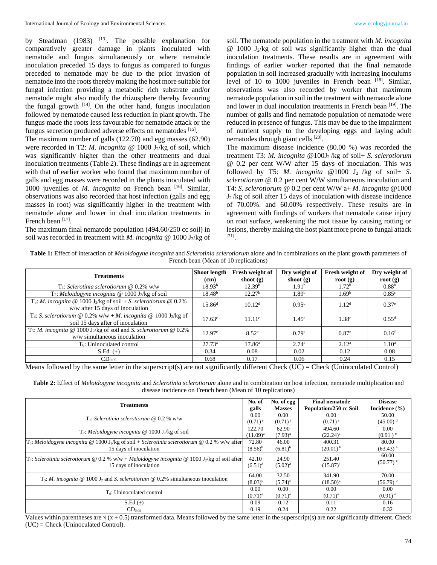by Steadman  $(1983)$  <sup>[13]</sup>. The possible explanation for comparatively greater damage in plants inoculated with nematode and fungus simultaneously or where nematode inoculation preceded 15 days to fungus as compared to fungus preceded to nematode may be due to the prior invasion of nematode into the roots thereby making the host more suitable for fungal infection providing a metabolic rich substrate and/or nematode might also modify the rhizosphere thereby favouring the fungal growth  $[14]$ . On the other hand, fungus inoculation followed by nematode caused less reduction in plant growth. The fungus made the roots less favourable for nematode attack or the fungus secretion produced adverse effects on nematodes [15].

The maximum number of galls (122.70) and egg masses (62.90) were recorded in T2: *M. incognita* @ 1000 J<sub>2</sub>/kg of soil, which was significantly higher than the other treatments and dual inoculation treatments (Table 2). These findings are in agreement with that of earlier worker who found that maximum number of galls and egg masses were recorded in the plants inoculated with 1000 juveniles of *M. incognita* on French bean <sup>[16]</sup>. Similar, observations was also recorded that host infection (galls and egg masses in root) was significantly higher in the treatment with nematode alone and lower in dual inoculation treatments in French bean [17].

The maximum final nematode population (494.60/250 cc soil) in soil was recorded in treatment with *M. incognita* @ 1000 J<sub>2</sub>/kg of soil. The nematode population in the treatment with *M. incognita*  $\omega$  1000 J<sub>2</sub>/kg of soil was significantly higher than the dual inoculation treatments. These results are in agreement with findings of earlier worker reported that the final nematode population in soil increased gradually with increasing inoculums level of 10 to 1000 juveniles in French bean [18]. Similar, observations was also recorded by worker that maximum nematode population in soil in the treatment with nematode alone and lower in dual inoculation treatments in French bean [19]. The number of galls and find nematode population of nematode were reduced in presence of fungus. This may be due to the impairment of nutrient supply to the developing eggs and laying adult nematodes through giant cells [20].

The maximum disease incidence (80.00 %) was recorded the treatment T3: *M. incognita* @100J2 /kg of soil+ *S. sclerotiorum* @ 0.2 per cent W/W after 15 days of inoculation. This was followed by T5: *M. incognita* @1000  $J_2$  /kg of soil+ *S. sclerotiorum* @ 0.2 per cent W/W simultaneous inoculation and T4: *S. sclerotiorum* @ 0.2 per cent W/W a+ *M. incognita* @1000  $J_2$ /kg of soil after 15 days of inoculation with disease incidence of 70.00%. and 60.00% respectively. These results are in agreement with findings of workers that nematode cause injury on root surface, weakening the root tissue by causing rotting or lesions, thereby making the host plant more prone to fungal attack [21] .

**Table 1:** Effect of interaction of *Meloidogyne incognita* and *Sclerotinia sclerotiorum* alone and in combinations on the plant growth parameters of French bean (Mean of 10 replications)

| <b>Treatments</b>                                                                                                                          | Shoot length<br>(cm) | Fresh weight of<br>shoot $(g)$ | Dry weight of<br>shoot $(g)$ | Fresh weight of<br>root $(g)$ | Dry weight of<br>root $(g)$ |
|--------------------------------------------------------------------------------------------------------------------------------------------|----------------------|--------------------------------|------------------------------|-------------------------------|-----------------------------|
| $T_1$ : Sclerotinia sclerotiorum @ 0.2% w/w                                                                                                | 18.93 <sup>b</sup>   | 12.39 <sup>b</sup>             | 1.91 <sup>b</sup>            | 1.72 <sup>b</sup>             | 0.88 <sup>b</sup>           |
| T <sub>2</sub> : Meloidogyne incognita @ 1000 J <sub>2</sub> /kg of soil                                                                   | $18.48^{b}$          | 12.27 <sup>b</sup>             | 1.89 <sup>b</sup>            | 1.69 <sup>b</sup>             | 0.85 <sup>c</sup>           |
| T <sub>3</sub> : <i>M. incognita</i> @ 1000 J <sub>2</sub> /kg of soil + <i>S. sclerotiorum</i> @ 0.2%<br>w/w after 15 days of inoculation | $15.86^{d}$          | 10.12 <sup>d</sup>             | 0.95 <sup>d</sup>            | 1.12 <sup>d</sup>             | $0.37^e$                    |
| T <sub>4</sub> : <i>S. sclerotiorum</i> @ 0.2% w/w + <i>M. incognita</i> @ 1000 J <sub>2</sub> /kg of<br>soil 15 days after of inoculation | $17.63^{\circ}$      | 11.11 <sup>c</sup>             | $1.45^{\circ}$               | 1.38 <sup>c</sup>             | $0.55^d$                    |
| T <sub>5</sub> : <i>M. incognita</i> @ 1000 J <sub>2</sub> /kg of soil and <i>S. sclerotiorum</i> @ 0.2%<br>w/w simultaneous inoculation   | $12.97^e$            | $8.52^e$                       | 0.79e                        | $0.87^{\circ}$                | 0.16 <sup>f</sup>           |
| T <sub>6</sub> : Uninoculated control                                                                                                      | 27.73 <sup>a</sup>   | 17.86 <sup>a</sup>             | 2.74 <sup>a</sup>            | 2.12 <sup>a</sup>             | 1.10 <sup>a</sup>           |
| S.Ed. $(\pm)$                                                                                                                              | 0.34                 | 0.08                           | 0.02                         | 0.12                          | 0.08                        |
| $CD_{0.05}$                                                                                                                                | 0.68                 | 0.17                           | 0.06                         | 0.24                          | 0.15                        |

Means followed by the same letter in the superscript(s) are not significantly different Check (UC) = Check (Uninoculated Control)

**Table 2:** Effect of *Meloidogyne incognita* and *Sclerotinia sclerotiorum* alone and in combination on host infection, nematode multiplication and disease incidence on French bean (Mean of 10 replications)

| <b>Treatments</b>                                                                                                                      |                     | No. of egg<br><b>Masses</b> | <b>Final nematode</b><br>Population/250 cc Soil | <b>Disease</b><br>Incidence $(\% )$ |
|----------------------------------------------------------------------------------------------------------------------------------------|---------------------|-----------------------------|-------------------------------------------------|-------------------------------------|
| $T_1$ : Sclerotinia sclerotiorum @ 0.2 % w/w                                                                                           |                     | 0.00                        | 0.00                                            | 50.00                               |
|                                                                                                                                        |                     | $(0.71)$ <sup>e</sup>       | $(0.71)$ <sup>e</sup>                           | $(45.00)^d$                         |
| $T_2$ : Meloidogyne incognita @ 1000 J <sub>2</sub> /kg of soil                                                                        |                     | 62.90                       | 494.60                                          | 0.00                                |
|                                                                                                                                        |                     | $(7.93)^{a}$                | $(22.24)^{a}$                                   | $(0.91)^e$                          |
| $T_3$ : Meloidogyne incognita @ 1000 J <sub>2</sub> /kg of soil + Sclerotinia sclerotiorum @ 0.2 % w/w after<br>15 days of inoculation |                     | 46.00                       | 400.31                                          | 80.00                               |
|                                                                                                                                        |                     | $(6.81)^{b}$                | $(20.01)^{b}$                                   | $(63.43)$ <sup>a</sup>              |
| $T_4$ : Sclerotinia sclerotiorum @ 0.2 % w/w + Meloidogyne incognita @ 1000 J <sub>2</sub> /kg of soil after                           | 42.10               | 24.90                       | 251.40                                          | 60.00                               |
| 15 days of inoculation                                                                                                                 |                     | $(5.02)^d$                  | $(15.87)^c$                                     | $(50.77)$ <sup>c</sup>              |
|                                                                                                                                        | $(6.51)^d$<br>64.00 |                             |                                                 |                                     |
| $T_5$ : <i>M. incognita</i> @ 1000 J <sub>2</sub> and <i>S. sclerotiorum</i> @ 0.2% simultaneous inoculation                           |                     | 32.50                       | 341.90                                          | 70.00                               |
|                                                                                                                                        |                     | $(5.74)^c$                  | $(18.50)^d$                                     | $(56.79)^{b}$                       |
| $T_6$ : Uninoculated control                                                                                                           | 0.00                | 0.00                        | 0.00                                            | 0.00                                |
|                                                                                                                                        |                     | $(0.71)^e$                  | $(0.71)^e$                                      | $(0.91)$ <sup>e</sup>               |
| $S.Ed.(\pm)$                                                                                                                           | 0.09                | 0.12                        | 0.11                                            | 0.16                                |
| $CD_{0.05}$                                                                                                                            | 0.19                | 0.24                        | 0.22                                            | 0.32                                |

Values within parentheses are  $\sqrt{(x + 0.5)}$  transformed data. Means followed by the same letter in the superscript(s) are not significantly different. Check (UC) = Check (Uninoculated Control).